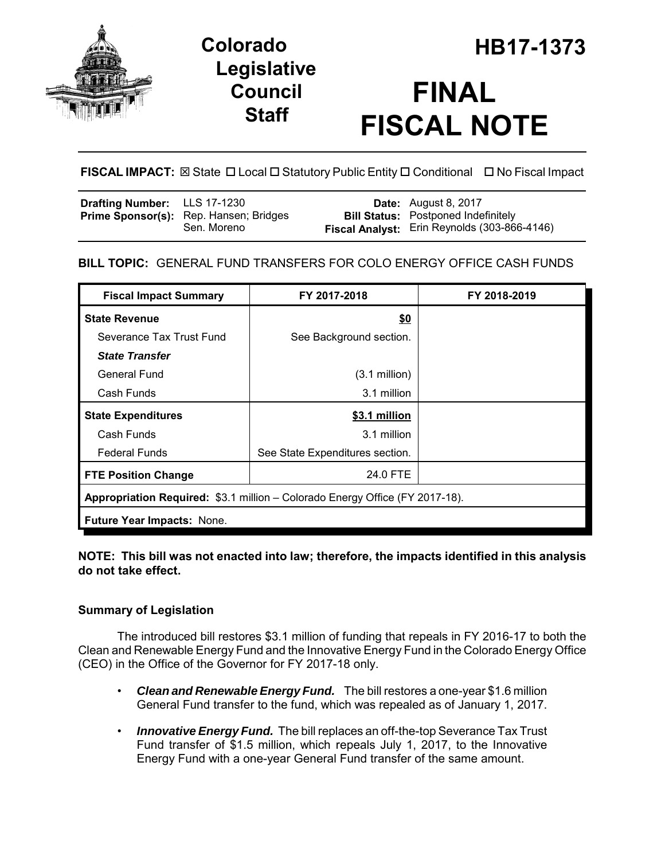



# **FINAL FISCAL NOTE**

# **FISCAL IMPACT:** ⊠ State **D** Local **D** Statutory Public Entity **D** Conditional **D** No Fiscal Impact

| <b>Drafting Number:</b> LLS 17-1230 |                                        | <b>Date:</b> August 8, 2017                  |
|-------------------------------------|----------------------------------------|----------------------------------------------|
|                                     | Prime Sponsor(s): Rep. Hansen; Bridges | <b>Bill Status:</b> Postponed Indefinitely   |
|                                     | Sen. Moreno                            | Fiscal Analyst: Erin Reynolds (303-866-4146) |

# **BILL TOPIC:** GENERAL FUND TRANSFERS FOR COLO ENERGY OFFICE CASH FUNDS

| <b>Fiscal Impact Summary</b>                                                 | FY 2017-2018                    | FY 2018-2019 |  |  |
|------------------------------------------------------------------------------|---------------------------------|--------------|--|--|
| <b>State Revenue</b>                                                         | \$0                             |              |  |  |
| Severance Tax Trust Fund                                                     | See Background section.         |              |  |  |
| <b>State Transfer</b>                                                        |                                 |              |  |  |
| General Fund                                                                 | $(3.1 \text{ million})$         |              |  |  |
| Cash Funds                                                                   | 3.1 million                     |              |  |  |
| <b>State Expenditures</b>                                                    | \$3.1 million                   |              |  |  |
| Cash Funds                                                                   | 3.1 million                     |              |  |  |
| <b>Federal Funds</b>                                                         | See State Expenditures section. |              |  |  |
| <b>FTE Position Change</b>                                                   | 24.0 FTE                        |              |  |  |
| Appropriation Required: \$3.1 million - Colorado Energy Office (FY 2017-18). |                                 |              |  |  |
| Future Year Impacts: None.                                                   |                                 |              |  |  |

## **NOTE: This bill was not enacted into law; therefore, the impacts identified in this analysis do not take effect.**

## **Summary of Legislation**

The introduced bill restores \$3.1 million of funding that repeals in FY 2016-17 to both the Clean and Renewable Energy Fund and the Innovative Energy Fund in the Colorado Energy Office (CEO) in the Office of the Governor for FY 2017-18 only.

- *Clean and Renewable Energy Fund.* The bill restores a one-year \$1.6 million General Fund transfer to the fund, which was repealed as of January 1, 2017.
- *Innovative Energy Fund.* The bill replaces an off-the-top Severance Tax Trust Fund transfer of \$1.5 million, which repeals July 1, 2017, to the Innovative Energy Fund with a one-year General Fund transfer of the same amount.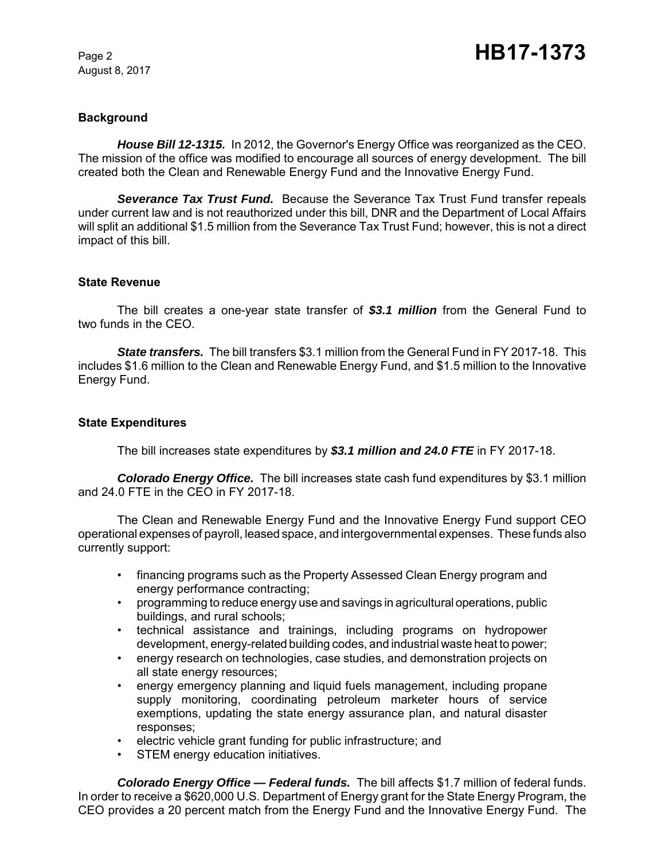August 8, 2017

### **Background**

*House Bill 12-1315.* In 2012, the Governor's Energy Office was reorganized as the CEO. The mission of the office was modified to encourage all sources of energy development. The bill created both the Clean and Renewable Energy Fund and the Innovative Energy Fund.

*Severance Tax Trust Fund.* Because the Severance Tax Trust Fund transfer repeals under current law and is not reauthorized under this bill, DNR and the Department of Local Affairs will split an additional \$1.5 million from the Severance Tax Trust Fund; however, this is not a direct impact of this bill.

#### **State Revenue**

The bill creates a one-year state transfer of *\$3.1 million* from the General Fund to two funds in the CEO.

*State transfers.* The bill transfers \$3.1 million from the General Fund in FY 2017-18. This includes \$1.6 million to the Clean and Renewable Energy Fund, and \$1.5 million to the Innovative Energy Fund.

#### **State Expenditures**

The bill increases state expenditures by *\$3.1 million and 24.0 FTE* in FY 2017-18.

*Colorado Energy Office.* The bill increases state cash fund expenditures by \$3.1 million and 24.0 FTE in the CEO in FY 2017-18.

The Clean and Renewable Energy Fund and the Innovative Energy Fund support CEO operational expenses of payroll, leased space, and intergovernmental expenses. These funds also currently support:

- financing programs such as the Property Assessed Clean Energy program and energy performance contracting;
- programming to reduce energy use and savings in agricultural operations, public buildings, and rural schools;
- technical assistance and trainings, including programs on hydropower development, energy-related building codes, and industrial waste heat to power;
- energy research on technologies, case studies, and demonstration projects on all state energy resources;
- energy emergency planning and liquid fuels management, including propane supply monitoring, coordinating petroleum marketer hours of service exemptions, updating the state energy assurance plan, and natural disaster responses;
- electric vehicle grant funding for public infrastructure; and
- STEM energy education initiatives.

*Colorado Energy Office — Federal funds.* The bill affects \$1.7 million of federal funds. In order to receive a \$620,000 U.S. Department of Energy grant for the State Energy Program, the CEO provides a 20 percent match from the Energy Fund and the Innovative Energy Fund. The